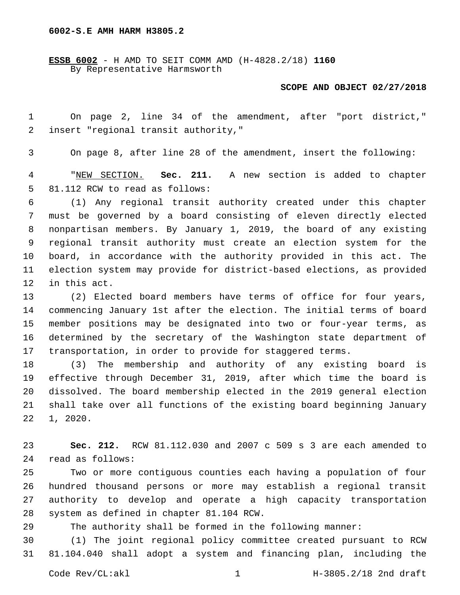**ESSB 6002** - H AMD TO SEIT COMM AMD (H-4828.2/18) **1160** By Representative Harmsworth

## **SCOPE AND OBJECT 02/27/2018**

 On page 2, line 34 of the amendment, after "port district," 2 insert "regional transit authority,"

On page 8, after line 28 of the amendment, insert the following:

 "NEW SECTION. **Sec. 211.** A new section is added to chapter 5 81.112 RCW to read as follows:

 (1) Any regional transit authority created under this chapter must be governed by a board consisting of eleven directly elected nonpartisan members. By January 1, 2019, the board of any existing regional transit authority must create an election system for the board, in accordance with the authority provided in this act. The election system may provide for district-based elections, as provided 12 in this act.

 (2) Elected board members have terms of office for four years, commencing January 1st after the election. The initial terms of board member positions may be designated into two or four-year terms, as determined by the secretary of the Washington state department of transportation, in order to provide for staggered terms.

 (3) The membership and authority of any existing board is effective through December 31, 2019, after which time the board is dissolved. The board membership elected in the 2019 general election shall take over all functions of the existing board beginning January  $22 \quad 1, 2020.$ 

 **Sec. 212.** RCW 81.112.030 and 2007 c 509 s 3 are each amended to 24 read as follows:

 Two or more contiguous counties each having a population of four hundred thousand persons or more may establish a regional transit authority to develop and operate a high capacity transportation 28 system as defined in chapter 81.104 RCW.

The authority shall be formed in the following manner:

 (1) The joint regional policy committee created pursuant to RCW 81.104.040 shall adopt a system and financing plan, including the

Code Rev/CL:akl 1 1 H-3805.2/18 2nd draft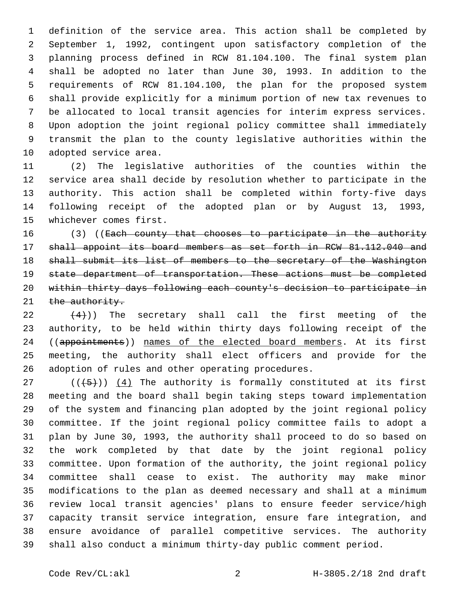definition of the service area. This action shall be completed by September 1, 1992, contingent upon satisfactory completion of the planning process defined in RCW 81.104.100. The final system plan shall be adopted no later than June 30, 1993. In addition to the requirements of RCW 81.104.100, the plan for the proposed system shall provide explicitly for a minimum portion of new tax revenues to be allocated to local transit agencies for interim express services. Upon adoption the joint regional policy committee shall immediately transmit the plan to the county legislative authorities within the 10 adopted service area.

 (2) The legislative authorities of the counties within the service area shall decide by resolution whether to participate in the authority. This action shall be completed within forty-five days following receipt of the adopted plan or by August 13, 1993, 15 whichever comes first.

16 (3) ((Each county that chooses to participate in the authority shall appoint its board members as set forth in RCW 81.112.040 and shall submit its list of members to the secretary of the Washington state department of transportation. These actions must be completed within thirty days following each county's decision to participate in 21 the authority.

 $(22 \t+4)$ ) The secretary shall call the first meeting of the authority, to be held within thirty days following receipt of the 24 ((appointments)) names of the elected board members. At its first meeting, the authority shall elect officers and provide for the 26 adoption of rules and other operating procedures.

 (( $(45)$ )) (4) The authority is formally constituted at its first meeting and the board shall begin taking steps toward implementation of the system and financing plan adopted by the joint regional policy committee. If the joint regional policy committee fails to adopt a plan by June 30, 1993, the authority shall proceed to do so based on the work completed by that date by the joint regional policy committee. Upon formation of the authority, the joint regional policy committee shall cease to exist. The authority may make minor modifications to the plan as deemed necessary and shall at a minimum review local transit agencies' plans to ensure feeder service/high capacity transit service integration, ensure fare integration, and ensure avoidance of parallel competitive services. The authority shall also conduct a minimum thirty-day public comment period.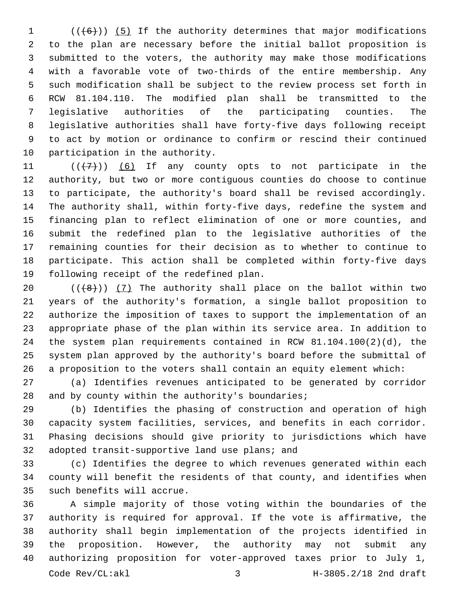(( $(6)$ )) (5) If the authority determines that major modifications to the plan are necessary before the initial ballot proposition is submitted to the voters, the authority may make those modifications with a favorable vote of two-thirds of the entire membership. Any such modification shall be subject to the review process set forth in RCW 81.104.110. The modified plan shall be transmitted to the legislative authorities of the participating counties. The legislative authorities shall have forty-five days following receipt to act by motion or ordinance to confirm or rescind their continued 10 participation in the authority.

 $((+7+))$  (6) If any county opts to not participate in the authority, but two or more contiguous counties do choose to continue to participate, the authority's board shall be revised accordingly. The authority shall, within forty-five days, redefine the system and financing plan to reflect elimination of one or more counties, and submit the redefined plan to the legislative authorities of the remaining counties for their decision as to whether to continue to participate. This action shall be completed within forty-five days 19 following receipt of the redefined plan.

 $((+8))$   $(7)$  The authority shall place on the ballot within two years of the authority's formation, a single ballot proposition to authorize the imposition of taxes to support the implementation of an appropriate phase of the plan within its service area. In addition to the system plan requirements contained in RCW 81.104.100(2)(d), the system plan approved by the authority's board before the submittal of a proposition to the voters shall contain an equity element which:

 (a) Identifies revenues anticipated to be generated by corridor 28 and by county within the authority's boundaries;

 (b) Identifies the phasing of construction and operation of high capacity system facilities, services, and benefits in each corridor. Phasing decisions should give priority to jurisdictions which have 32 adopted transit-supportive land use plans; and

 (c) Identifies the degree to which revenues generated within each county will benefit the residents of that county, and identifies when 35 such benefits will accrue.

 A simple majority of those voting within the boundaries of the authority is required for approval. If the vote is affirmative, the authority shall begin implementation of the projects identified in the proposition. However, the authority may not submit any authorizing proposition for voter-approved taxes prior to July 1, Code Rev/CL:akl 3 H-3805.2/18 2nd draft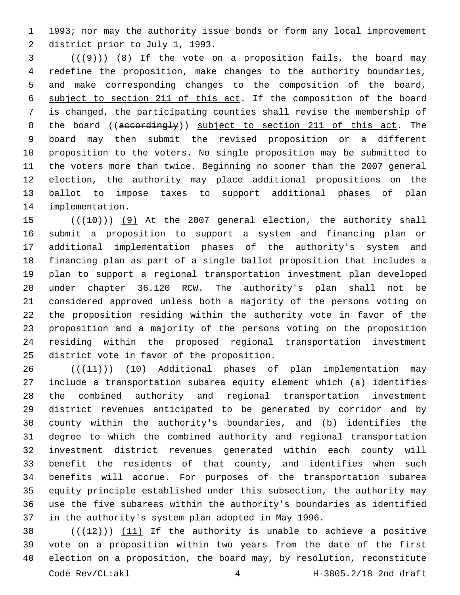1993; nor may the authority issue bonds or form any local improvement 2 district prior to July 1, 1993.

 ( $(\frac{49}{})$ )  $\frac{8}{15}$  If the vote on a proposition fails, the board may redefine the proposition, make changes to the authority boundaries, and make corresponding changes to the composition of the board, subject to section 211 of this act. If the composition of the board is changed, the participating counties shall revise the membership of 8 the board ((accordingly)) subject to section 211 of this act. The board may then submit the revised proposition or a different proposition to the voters. No single proposition may be submitted to the voters more than twice. Beginning no sooner than the 2007 general election, the authority may place additional propositions on the ballot to impose taxes to support additional phases of plan 14 implementation.

15 (( $(10)$ ) (9) At the 2007 general election, the authority shall submit a proposition to support a system and financing plan or additional implementation phases of the authority's system and financing plan as part of a single ballot proposition that includes a plan to support a regional transportation investment plan developed under chapter 36.120 RCW. The authority's plan shall not be considered approved unless both a majority of the persons voting on the proposition residing within the authority vote in favor of the proposition and a majority of the persons voting on the proposition residing within the proposed regional transportation investment 25 district vote in favor of the proposition.

26 (( $(11)$ )) (10) Additional phases of plan implementation may include a transportation subarea equity element which (a) identifies the combined authority and regional transportation investment district revenues anticipated to be generated by corridor and by county within the authority's boundaries, and (b) identifies the degree to which the combined authority and regional transportation investment district revenues generated within each county will benefit the residents of that county, and identifies when such benefits will accrue. For purposes of the transportation subarea equity principle established under this subsection, the authority may use the five subareas within the authority's boundaries as identified in the authority's system plan adopted in May 1996.

 $((+12))$  (11) If the authority is unable to achieve a positive vote on a proposition within two years from the date of the first election on a proposition, the board may, by resolution, reconstitute Code Rev/CL:akl 4 H-3805.2/18 2nd draft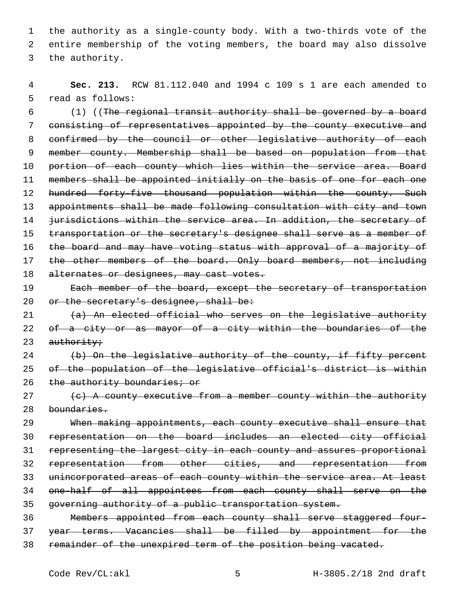1 the authority as a single-county body. With a two-thirds vote of the 2 entire membership of the voting members, the board may also dissolve 3 the authority.

4 **Sec. 213.** RCW 81.112.040 and 1994 c 109 s 1 are each amended to 5 read as follows:

6 (1) ((The regional transit authority shall be governed by a board 7 consisting of representatives appointed by the county executive and 8 confirmed by the council or other legislative authority of each 9 member county. Membership shall be based on population from that 10 portion of each county which lies within the service area. Board 11 members shall be appointed initially on the basis of one for each one 12 hundred forty-five thousand population within the county. Such 13 appointments shall be made following consultation with city and town 14 jurisdictions within the service area. In addition, the secretary of 15 transportation or the secretary's designee shall serve as a member of 16 the board and may have voting status with approval of a majority of 17 the other members of the board. Only board members, not including 18 alternates or designees, may cast votes. 19 Each member of the board, except the secretary of transportation

20 or the secretary's designee, shall be:

21 (a) An elected official who serves on the legislative authority 22 of a city or as mayor of a city within the boundaries of the  $23$  authority;

24 (b) On the legislative authority of the county, if fifty percent 25 of the population of the legislative official's district is within 26 the authority boundaries; or

 $27$  (c) A county executive from a member county within the authority 28 boundaries.

 When making appointments, each county executive shall ensure that representation on the board includes an elected city official representing the largest city in each county and assures proportional representation from other cities, and representation from unincorporated areas of each county within the service area. At least one-half of all appointees from each county shall serve on the governing authority of a public transportation system.

36 Members appointed from each county shall serve staggered four-37 year terms. Vacancies shall be filled by appointment for the 38 remainder of the unexpired term of the position being vacated.